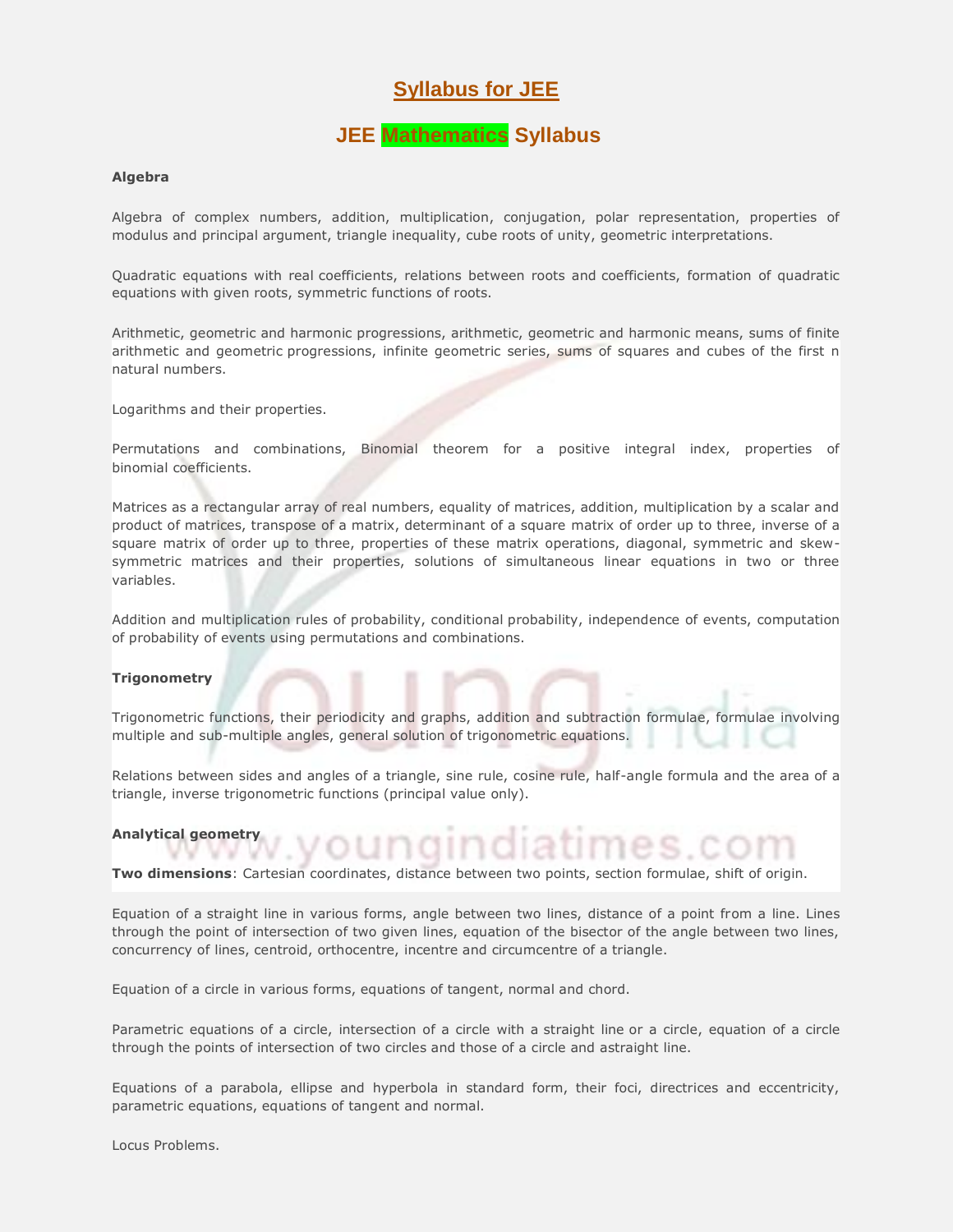# **Syllabus for JEE**

# **JEE Mathematics Syllabus**

### **Algebra**

Algebra of complex numbers, addition, multiplication, conjugation, polar representation, properties of modulus and principal argument, triangle inequality, cube roots of unity, geometric interpretations.

Quadratic equations with real coefficients, relations between roots and coefficients, formation of quadratic equations with given roots, symmetric functions of roots.

Arithmetic, geometric and harmonic progressions, arithmetic, geometric and harmonic means, sums of finite arithmetic and geometric progressions, infinite geometric series, sums of squares and cubes of the first n natural numbers.

Logarithms and their properties.

Permutations and combinations, Binomial theorem for a positive integral index, properties of binomial coefficients.

Matrices as a rectangular array of real numbers, equality of matrices, addition, multiplication by a scalar and product of matrices, transpose of a matrix, determinant of a square matrix of order up to three, inverse of a square matrix of order up to three, properties of these matrix operations, diagonal, symmetric and skewsymmetric matrices and their properties, solutions of simultaneous linear equations in two or three variables.

Addition and multiplication rules of probability, conditional probability, independence of events, computation of probability of events using permutations and combinations.

## **Trigonometry**

Trigonometric functions, their periodicity and graphs, addition and subtraction formulae, formulae involving multiple and sub-multiple angles, general solution of trigonometric equations.

Relations between sides and angles of a triangle, sine rule, cosine rule, half-angle formula and the area of a triangle, inverse trigonometric functions (principal value only).

diatimes

#### **Analytical geometry**

**Two dimensions**: Cartesian coordinates, distance between two points, section formulae, shift of origin.

Equation of a straight line in various forms, angle between two lines, distance of a point from a line. Lines through the point of intersection of two given lines, equation of the bisector of the angle between two lines, concurrency of lines, centroid, orthocentre, incentre and circumcentre of a triangle.

Equation of a circle in various forms, equations of tangent, normal and chord.

Parametric equations of a circle, intersection of a circle with a straight line or a circle, equation of a circle through the points of intersection of two circles and those of a circle and astraight line.

Equations of a parabola, ellipse and hyperbola in standard form, their foci, directrices and eccentricity, parametric equations, equations of tangent and normal.

Locus Problems.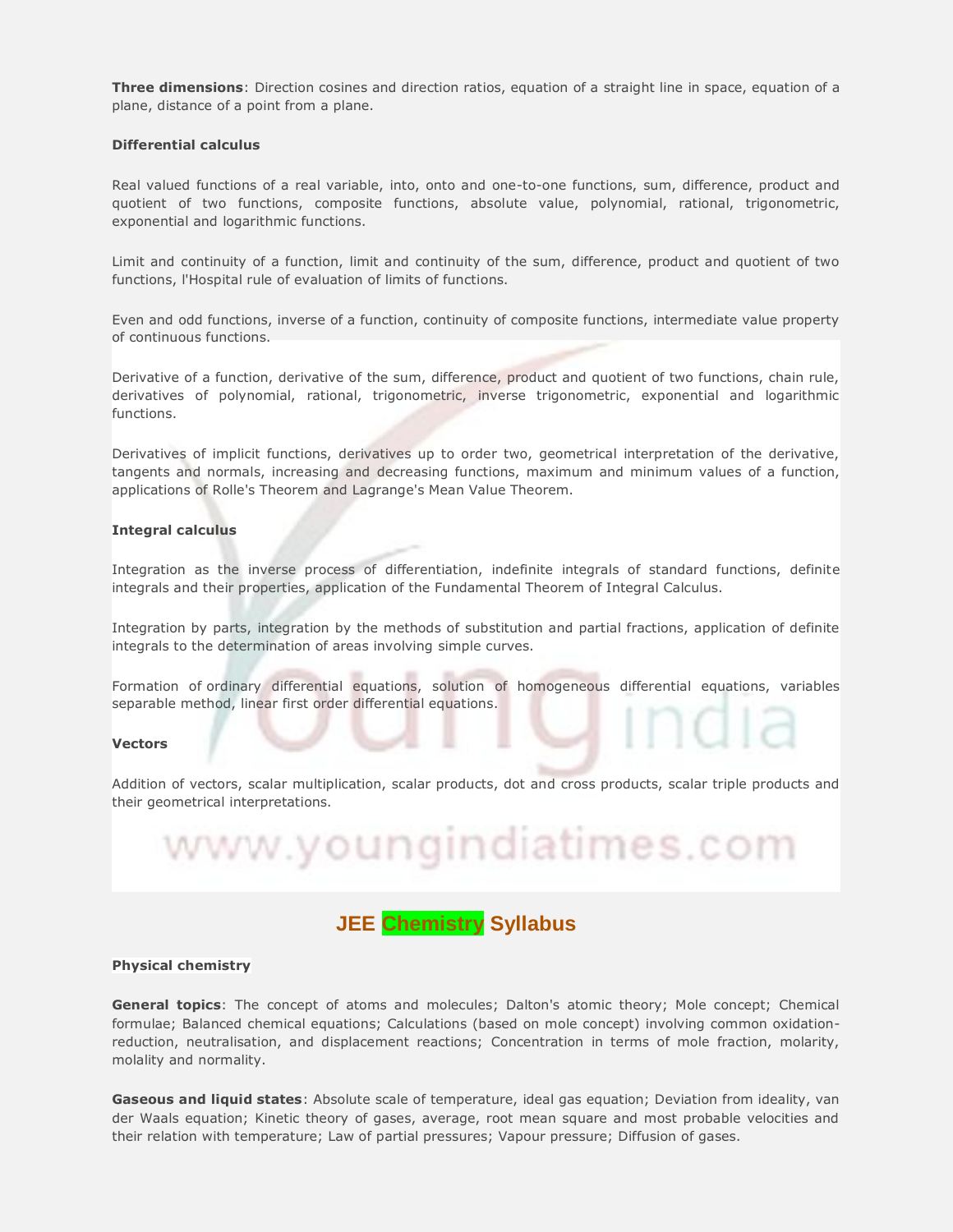**Three dimensions**: Direction cosines and direction ratios, equation of a straight line in space, equation of a plane, distance of a point from a plane.

# **Differential calculus**

Real valued functions of a real variable, into, onto and one-to-one functions, sum, difference, product and quotient of two functions, composite functions, absolute value, polynomial, rational, trigonometric, exponential and logarithmic functions.

Limit and continuity of a function, limit and continuity of the sum, difference, product and quotient of two functions, l'Hospital rule of evaluation of limits of functions.

Even and odd functions, inverse of a function, continuity of composite functions, intermediate value property of continuous functions.

Derivative of a function, derivative of the sum, difference, product and quotient of two functions, chain rule, derivatives of polynomial, rational, trigonometric, inverse trigonometric, exponential and logarithmic functions.

Derivatives of implicit functions, derivatives up to order two, geometrical interpretation of the derivative, tangents and normals, increasing and decreasing functions, maximum and minimum values of a function, applications of Rolle's Theorem and Lagrange's Mean Value Theorem.

### **Integral calculus**

Integration as the inverse process of differentiation, indefinite integrals of standard functions, definite integrals and their properties, application of the Fundamental Theorem of Integral Calculus.

Integration by parts, integration by the methods of substitution and partial fractions, application of definite integrals to the determination of areas involving simple curves.

Formation of ordinary differential equations, solution of homogeneous differential equations, variables separable method, linear first order differential equations.

#### **Vectors**

Addition of vectors, scalar multiplication, scalar products, dot and cross products, scalar triple products and their geometrical interpretations.

# www.youngindiatimes.com

# **JEE Chemistry Syllabus**

## **Physical chemistry**

**General topics**: The concept of atoms and molecules; Dalton's atomic theory; Mole concept; Chemical formulae; Balanced chemical equations; Calculations (based on mole concept) involving common oxidationreduction, neutralisation, and displacement reactions; Concentration in terms of mole fraction, molarity, molality and normality.

**Gaseous and liquid states**: Absolute scale of temperature, ideal gas equation; Deviation from ideality, van der Waals equation; Kinetic theory of gases, average, root mean square and most probable velocities and their relation with temperature; Law of partial pressures; Vapour pressure; Diffusion of gases.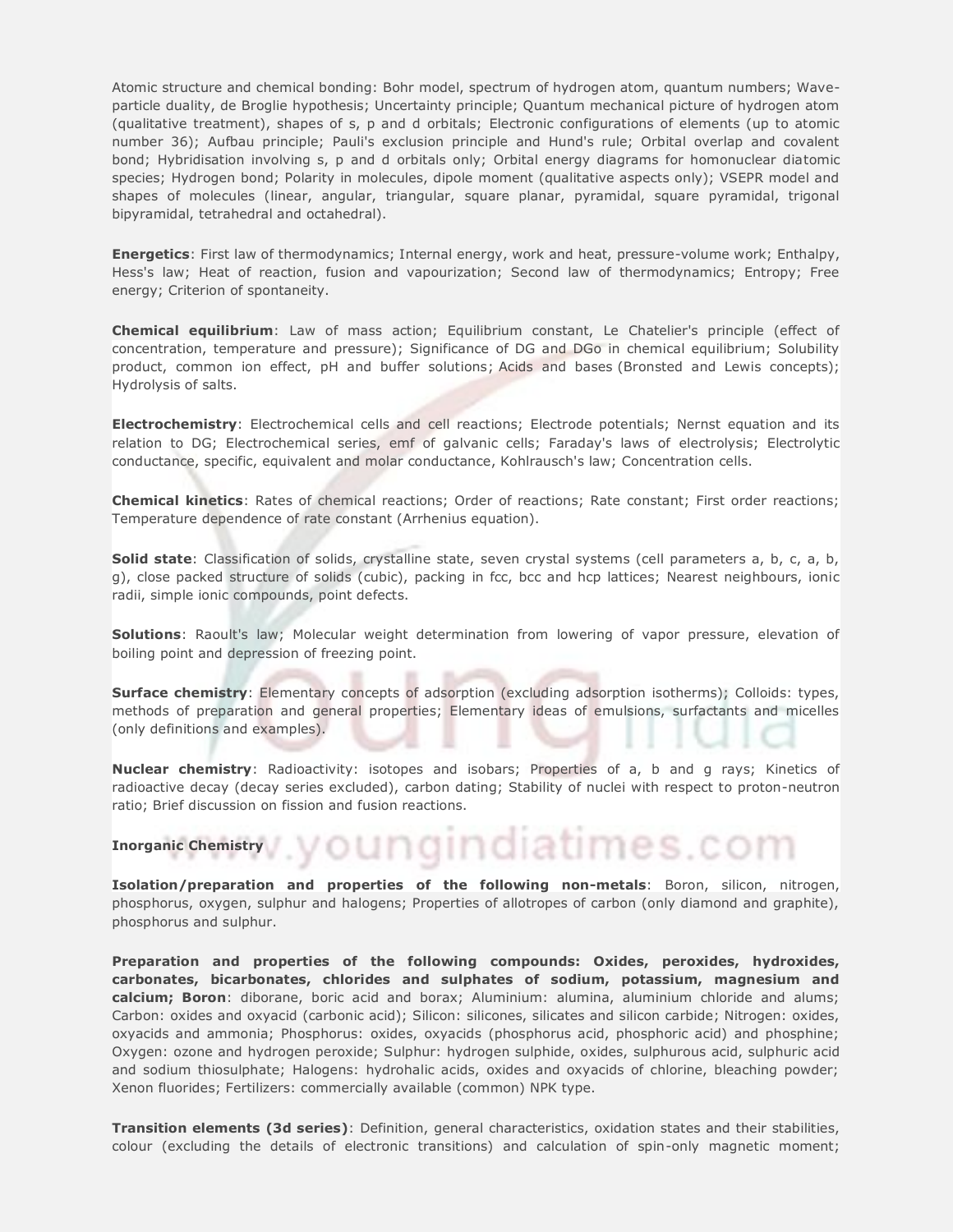Atomic structure and chemical bonding: Bohr model, spectrum of hydrogen atom, quantum numbers; Waveparticle duality, de Broglie hypothesis; Uncertainty principle; Quantum mechanical picture of hydrogen atom (qualitative treatment), shapes of s, p and d orbitals; Electronic configurations of elements (up to atomic number 36); Aufbau principle; Pauli's exclusion principle and Hund's rule; Orbital overlap and covalent bond; Hybridisation involving s, p and d orbitals only; Orbital energy diagrams for homonuclear diatomic species; Hydrogen bond; Polarity in molecules, dipole moment (qualitative aspects only); VSEPR model and shapes of molecules (linear, angular, triangular, square planar, pyramidal, square pyramidal, trigonal bipyramidal, tetrahedral and octahedral).

**Energetics**: First law of thermodynamics; Internal energy, work and heat, pressure-volume work; Enthalpy, Hess's law; Heat of reaction, fusion and vapourization; Second law of thermodynamics; Entropy; Free energy; Criterion of spontaneity.

**Chemical equilibrium**: Law of mass action; Equilibrium constant, Le Chatelier's principle (effect of concentration, temperature and pressure); Significance of DG and DGo in chemical equilibrium; Solubility product, common ion effect, pH and buffer solutions; Acids and bases (Bronsted and Lewis concepts); Hydrolysis of salts.

**Electrochemistry**: Electrochemical cells and cell reactions; Electrode potentials; Nernst equation and its relation to DG; Electrochemical series, emf of galvanic cells; Faraday's laws of electrolysis; Electrolytic conductance, specific, equivalent and molar conductance, Kohlrausch's law; Concentration cells.

**Chemical kinetics**: Rates of chemical reactions; Order of reactions; Rate constant; First order reactions; Temperature dependence of rate constant (Arrhenius equation).

**Solid state**: Classification of solids, crystalline state, seven crystal systems (cell parameters a, b, c, a, b, g), close packed structure of solids (cubic), packing in fcc, bcc and hcp lattices; Nearest neighbours, ionic radii, simple ionic compounds, point defects.

**Solutions**: Raoult's law; Molecular weight determination from lowering of vapor pressure, elevation of boiling point and depression of freezing point.

**Surface chemistry**: Elementary concepts of adsorption (excluding adsorption isotherms); Colloids: types, methods of preparation and general properties; Elementary ideas of emulsions, surfactants and micelles (only definitions and examples).

**Nuclear chemistry**: Radioactivity: isotopes and isobars; Properties of a, b and g rays; Kinetics of radioactive decay (decay series excluded), carbon dating; Stability of nuclei with respect to proton-neutron ratio; Brief discussion on fission and fusion reactions.

# **Inorganic Chemistry**

# youngindiatimes.com

**Isolation/preparation and properties of the following non-metals**: Boron, silicon, nitrogen, phosphorus, oxygen, sulphur and halogens; Properties of allotropes of carbon (only diamond and graphite), phosphorus and sulphur.

**Preparation and properties of the following compounds: Oxides, peroxides, hydroxides, carbonates, bicarbonates, chlorides and sulphates of sodium, potassium, magnesium and calcium; Boron**: diborane, boric acid and borax; Aluminium: alumina, aluminium chloride and alums; Carbon: oxides and oxyacid (carbonic acid); Silicon: silicones, silicates and silicon carbide; Nitrogen: oxides, oxyacids and ammonia; Phosphorus: oxides, oxyacids (phosphorus acid, phosphoric acid) and phosphine; Oxygen: ozone and hydrogen peroxide; Sulphur: hydrogen sulphide, oxides, sulphurous acid, sulphuric acid and sodium thiosulphate; Halogens: hydrohalic acids, oxides and oxyacids of chlorine, bleaching powder; Xenon fluorides; Fertilizers: commercially available (common) NPK type.

**Transition elements (3d series)**: Definition, general characteristics, oxidation states and their stabilities, colour (excluding the details of electronic transitions) and calculation of spin-only magnetic moment;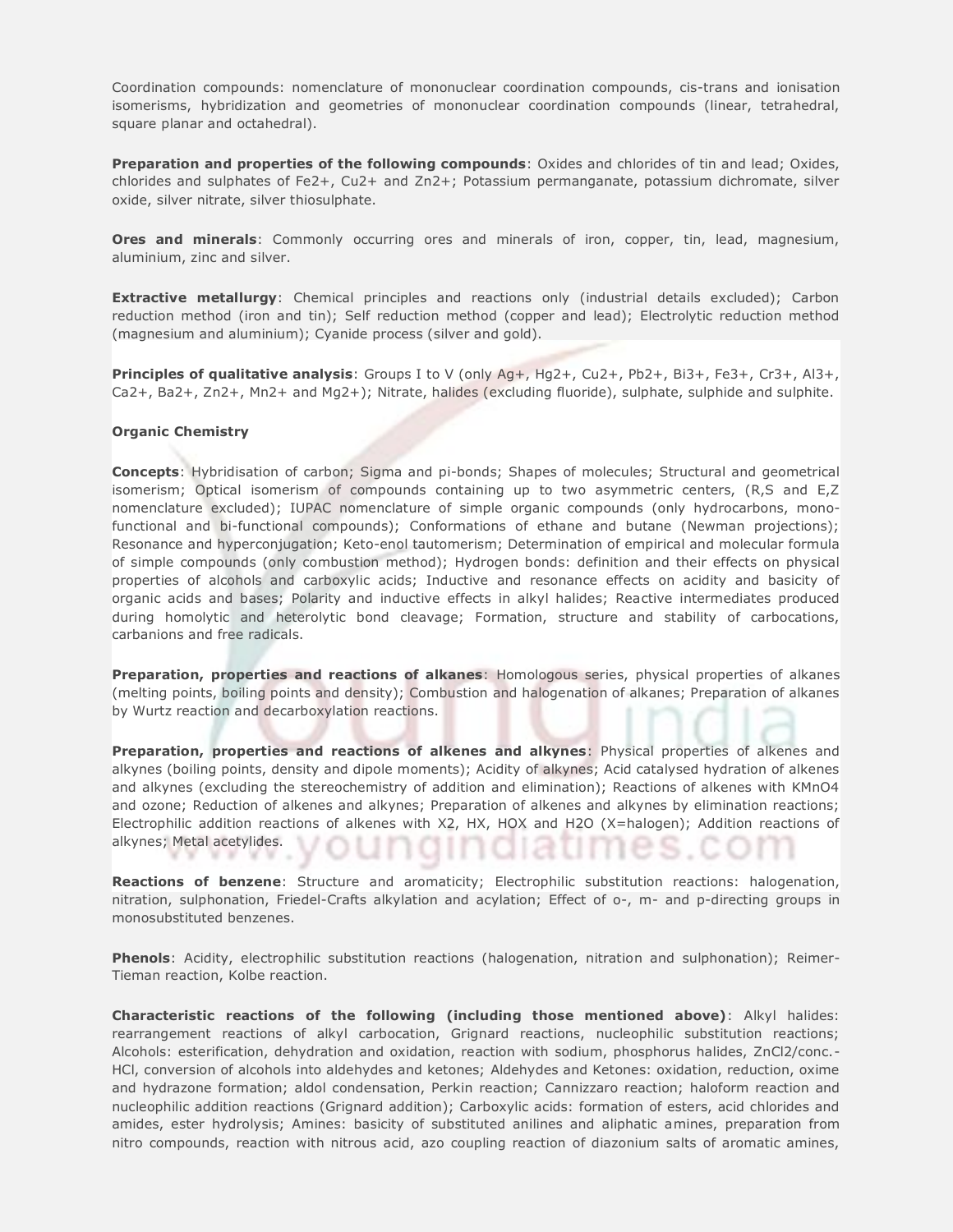Coordination compounds: nomenclature of mononuclear coordination compounds, cis-trans and ionisation isomerisms, hybridization and geometries of mononuclear coordination compounds (linear, tetrahedral, square planar and octahedral).

**Preparation and properties of the following compounds**: Oxides and chlorides of tin and lead; Oxides, chlorides and sulphates of Fe2+, Cu2+ and Zn2+; Potassium permanganate, potassium dichromate, silver oxide, silver nitrate, silver thiosulphate.

**Ores and minerals**: Commonly occurring ores and minerals of iron, copper, tin, lead, magnesium, aluminium, zinc and silver.

**Extractive metallurgy**: Chemical principles and reactions only (industrial details excluded); Carbon reduction method (iron and tin); Self reduction method (copper and lead); Electrolytic reduction method (magnesium and aluminium); Cyanide process (silver and gold).

**Principles of qualitative analysis**: Groups I to V (only Ag+, Hg2+, Cu2+, Pb2+, Bi3+, Fe3+, Cr3+, Al3+, Ca2+, Ba2+, Zn2+, Mn2+ and Mg2+); Nitrate, halides (excluding fluoride), sulphate, sulphide and sulphite.

### **Organic Chemistry**

**Concepts**: Hybridisation of carbon; Sigma and pi-bonds; Shapes of molecules; Structural and geometrical isomerism; Optical isomerism of compounds containing up to two asymmetric centers, (R,S and E,Z nomenclature excluded); IUPAC nomenclature of simple organic compounds (only hydrocarbons, monofunctional and bi-functional compounds); Conformations of ethane and butane (Newman projections); Resonance and hyperconjugation; Keto-enol tautomerism; Determination of empirical and molecular formula of simple compounds (only combustion method); Hydrogen bonds: definition and their effects on physical properties of alcohols and carboxylic acids; Inductive and resonance effects on acidity and basicity of organic acids and bases; Polarity and inductive effects in alkyl halides; Reactive intermediates produced during homolytic and heterolytic bond cleavage; Formation, structure and stability of carbocations, carbanions and free radicals.

**Preparation, properties and reactions of alkanes**: Homologous series, physical properties of alkanes (melting points, boiling points and density); Combustion and halogenation of alkanes; Preparation of alkanes by Wurtz reaction and decarboxylation reactions.

**Preparation, properties and reactions of alkenes and alkynes**: Physical properties of alkenes and alkynes (boiling points, density and dipole moments); Acidity of alkynes; Acid catalysed hydration of alkenes and alkynes (excluding the stereochemistry of addition and elimination); Reactions of alkenes with KMnO4 and ozone; Reduction of alkenes and alkynes; Preparation of alkenes and alkynes by elimination reactions; Electrophilic addition reactions of alkenes with X2, HX, HOX and H2O (X=halogen); Addition reactions of alkynes; Metal acetylides.

**Reactions of benzene**: Structure and aromaticity; Electrophilic substitution reactions: halogenation, nitration, sulphonation, Friedel-Crafts alkylation and acylation; Effect of o-, m- and p-directing groups in monosubstituted benzenes.

**Phenols**: Acidity, electrophilic substitution reactions (halogenation, nitration and sulphonation); Reimer-Tieman reaction, Kolbe reaction.

**Characteristic reactions of the following (including those mentioned above)**: Alkyl halides: rearrangement reactions of alkyl carbocation, Grignard reactions, nucleophilic substitution reactions; Alcohols: esterification, dehydration and oxidation, reaction with sodium, phosphorus halides, ZnCl2/conc.- HCl, conversion of alcohols into aldehydes and ketones; Aldehydes and Ketones: oxidation, reduction, oxime and hydrazone formation; aldol condensation, Perkin reaction; Cannizzaro reaction; haloform reaction and nucleophilic addition reactions (Grignard addition); Carboxylic acids: formation of esters, acid chlorides and amides, ester hydrolysis; Amines: basicity of substituted anilines and aliphatic amines, preparation from nitro compounds, reaction with nitrous acid, azo coupling reaction of diazonium salts of aromatic amines,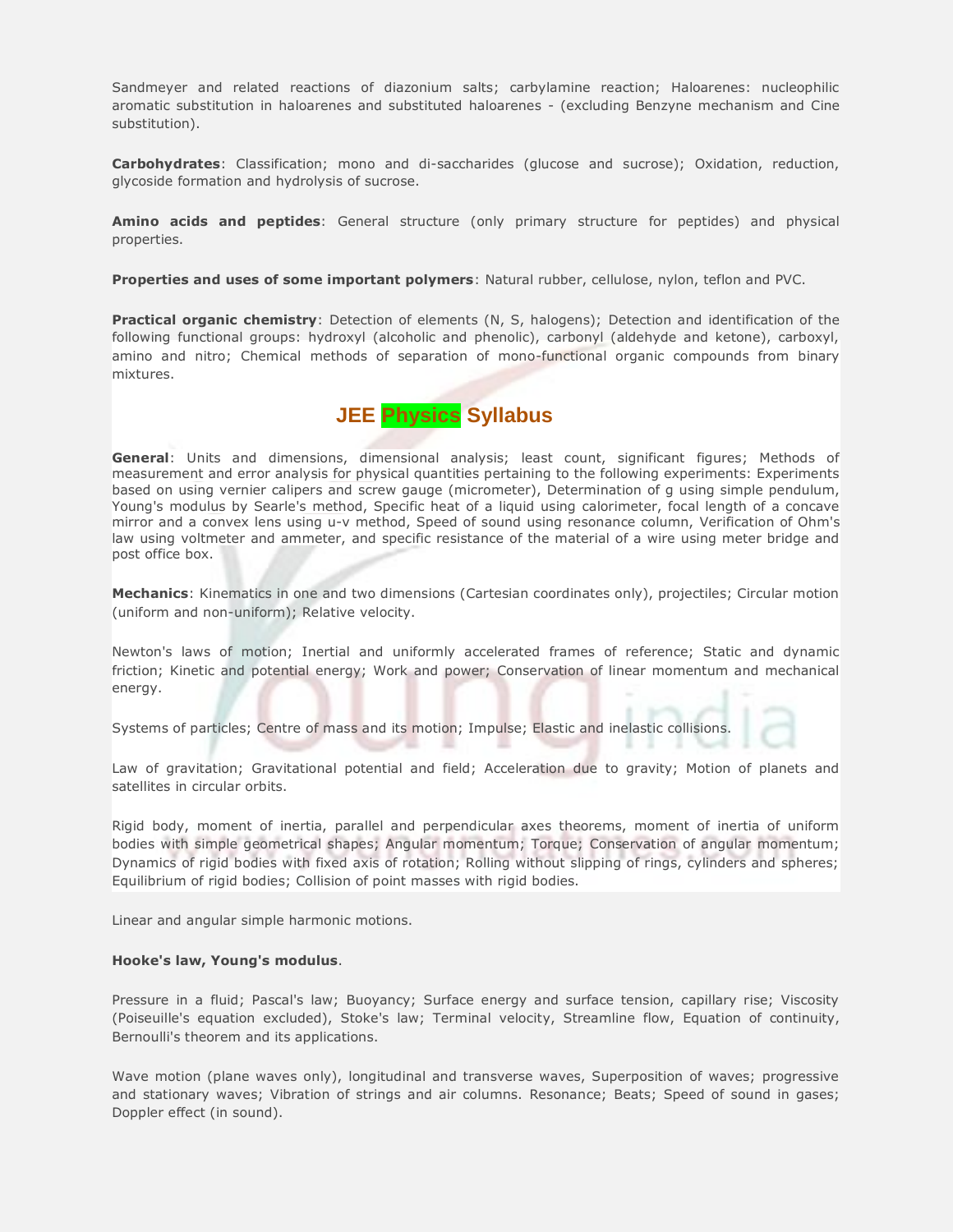Sandmeyer and related reactions of diazonium salts; carbylamine reaction; Haloarenes: nucleophilic aromatic substitution in haloarenes and substituted haloarenes - (excluding Benzyne mechanism and Cine substitution).

**Carbohydrates**: Classification; mono and di-saccharides (glucose and sucrose); Oxidation, reduction, glycoside formation and hydrolysis of sucrose.

**Amino acids and peptides**: General structure (only primary structure for peptides) and physical properties.

**Properties and uses of some important polymers**: Natural rubber, cellulose, nylon, teflon and PVC.

**Practical organic chemistry**: Detection of elements (N, S, halogens); Detection and identification of the following functional groups: hydroxyl (alcoholic and phenolic), carbonyl (aldehyde and ketone), carboxyl, amino and nitro; Chemical methods of separation of mono-functional organic compounds from binary mixtures.

# **JEE Physics Syllabus**

**General**: Units and dimensions, dimensional analysis; least count, significant figures; Methods of measurement and error analysis for physical quantities pertaining to the following experiments: Experiments based on using vernier calipers and screw gauge (micrometer), Determination of g using simple pendulum, Young's modulus by Searle's method, Specific heat of a liquid using calorimeter, focal length of a concave mirror and a convex lens using u-v method, Speed of sound using resonance column, Verification of Ohm's law using voltmeter and ammeter, and specific resistance of the material of a wire using meter bridge and post office box.

**Mechanics**: Kinematics in one and two dimensions (Cartesian coordinates only), projectiles; Circular motion (uniform and non-uniform); Relative velocity.

Newton's laws of motion; Inertial and uniformly accelerated frames of reference; Static and dynamic friction; Kinetic and potential energy; Work and power; Conservation of linear momentum and mechanical energy.

Systems of particles; Centre of mass and its motion; Impulse; Elastic and inelastic collisions.

Law of gravitation; Gravitational potential and field; Acceleration due to gravity; Motion of planets and satellites in circular orbits.

Rigid body, moment of inertia, parallel and perpendicular axes theorems, moment of inertia of uniform bodies with simple geometrical shapes; Angular momentum; Torque; Conservation of angular momentum; Dynamics of rigid bodies with fixed axis of rotation; Rolling without slipping of rings, cylinders and spheres; Equilibrium of rigid bodies; Collision of point masses with rigid bodies.

Linear and angular simple harmonic motions.

#### **Hooke's law, Young's modulus**.

Pressure in a fluid; Pascal's law; Buoyancy; Surface energy and surface tension, capillary rise; Viscosity (Poiseuille's equation excluded), Stoke's law; Terminal velocity, Streamline flow, Equation of continuity, Bernoulli's theorem and its applications.

Wave motion (plane waves only), longitudinal and transverse waves, Superposition of waves; progressive and stationary waves; Vibration of strings and air columns. Resonance; Beats; Speed of sound in gases; Doppler effect (in sound).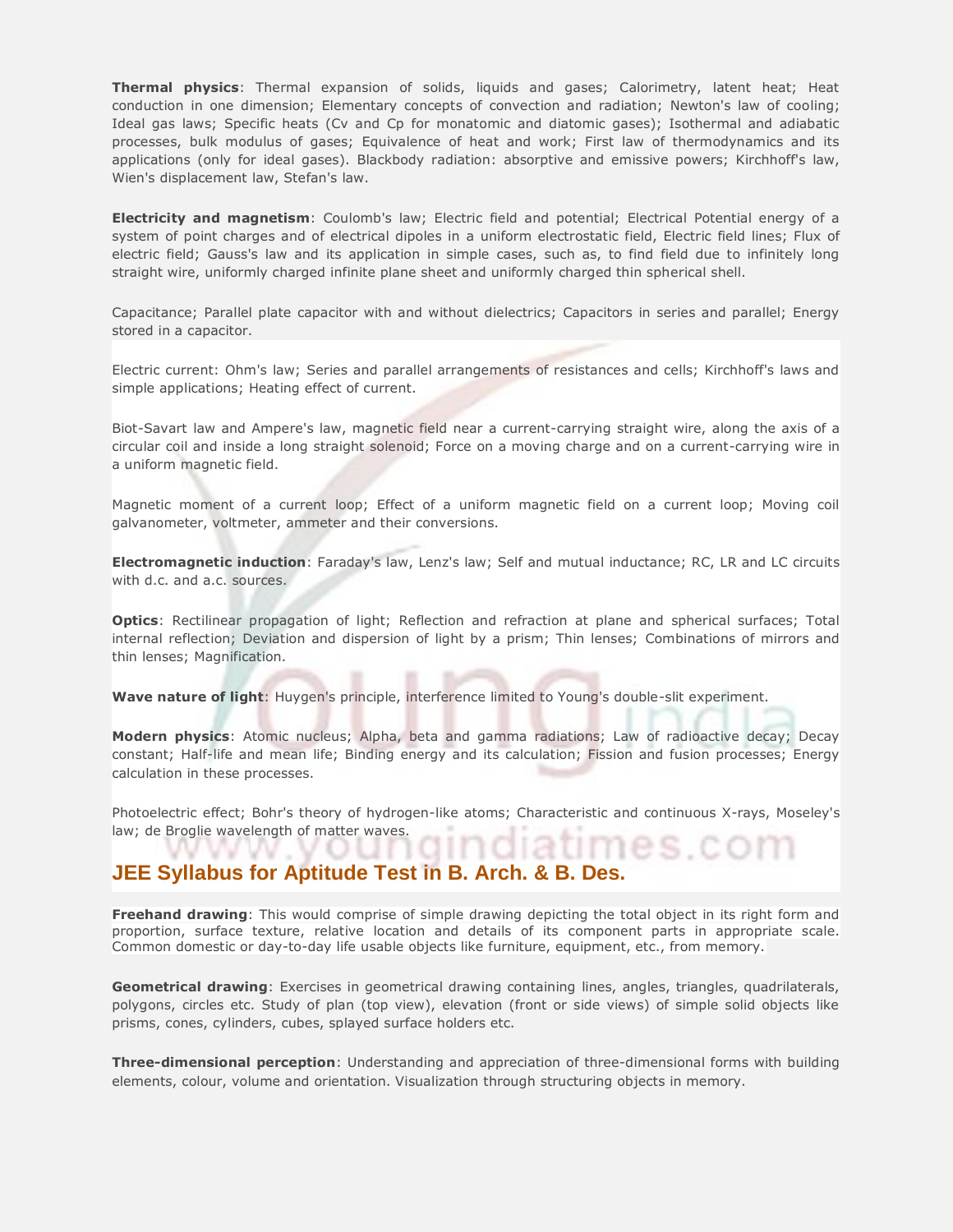**Thermal physics**: Thermal expansion of solids, liquids and gases; Calorimetry, latent heat; Heat conduction in one dimension; Elementary concepts of convection and radiation; Newton's law of cooling; Ideal gas laws; Specific heats (Cv and Cp for monatomic and diatomic gases); Isothermal and adiabatic processes, bulk modulus of gases; Equivalence of heat and work; First law of thermodynamics and its applications (only for ideal gases). Blackbody radiation: absorptive and emissive powers; Kirchhoff's law, Wien's displacement law, Stefan's law.

**Electricity and magnetism**: Coulomb's law; Electric field and potential; Electrical Potential energy of a system of point charges and of electrical dipoles in a uniform electrostatic field, Electric field lines; Flux of electric field; Gauss's law and its application in simple cases, such as, to find field due to infinitely long straight wire, uniformly charged infinite plane sheet and uniformly charged thin spherical shell.

Capacitance; Parallel plate capacitor with and without dielectrics; Capacitors in series and parallel; Energy stored in a capacitor.

Electric current: Ohm's law; Series and parallel arrangements of resistances and cells; Kirchhoff's laws and simple applications; Heating effect of current.

Biot-Savart law and Ampere's law, magnetic field near a current-carrying straight wire, along the axis of a circular coil and inside a long straight solenoid; Force on a moving charge and on a current-carrying wire in a uniform magnetic field.

Magnetic moment of a current loop; Effect of a uniform magnetic field on a current loop; Moving coil galvanometer, voltmeter, ammeter and their conversions.

**Electromagnetic induction**: Faraday's law, Lenz's law; Self and mutual inductance; RC, LR and LC circuits with d.c. and a.c. sources.

**Optics**: Rectilinear propagation of light; Reflection and refraction at plane and spherical surfaces; Total internal reflection; Deviation and dispersion of light by a prism; Thin lenses; Combinations of mirrors and thin lenses; Magnification.

**Wave nature of light**: Huygen's principle, interference limited to Young's double-slit experiment.

**Modern physics**: Atomic nucleus; Alpha, beta and gamma radiations; Law of radioactive decay; Decay constant; Half-life and mean life; Binding energy and its calculation; Fission and fusion processes; Energy calculation in these processes.

Photoelectric effect; Bohr's theory of hydrogen-like atoms; Characteristic and continuous X-rays, Moseley's law; de Broglie wavelength of matter waves. nes.co

# **JEE Syllabus for Aptitude Test in B. Arch. & B. Des.**

**Freehand drawing**: This would comprise of simple drawing depicting the total object in its right form and proportion, surface texture, relative location and details of its component parts in appropriate scale. Common domestic or day-to-day life usable objects like furniture, equipment, etc., from memory.

**Geometrical drawing**: Exercises in geometrical drawing containing lines, angles, triangles, quadrilaterals, polygons, circles etc. Study of plan (top view), elevation (front or side views) of simple solid objects like prisms, cones, cylinders, cubes, splayed surface holders etc.

**Three-dimensional perception**: Understanding and appreciation of three-dimensional forms with building elements, colour, volume and orientation. Visualization through structuring objects in memory.